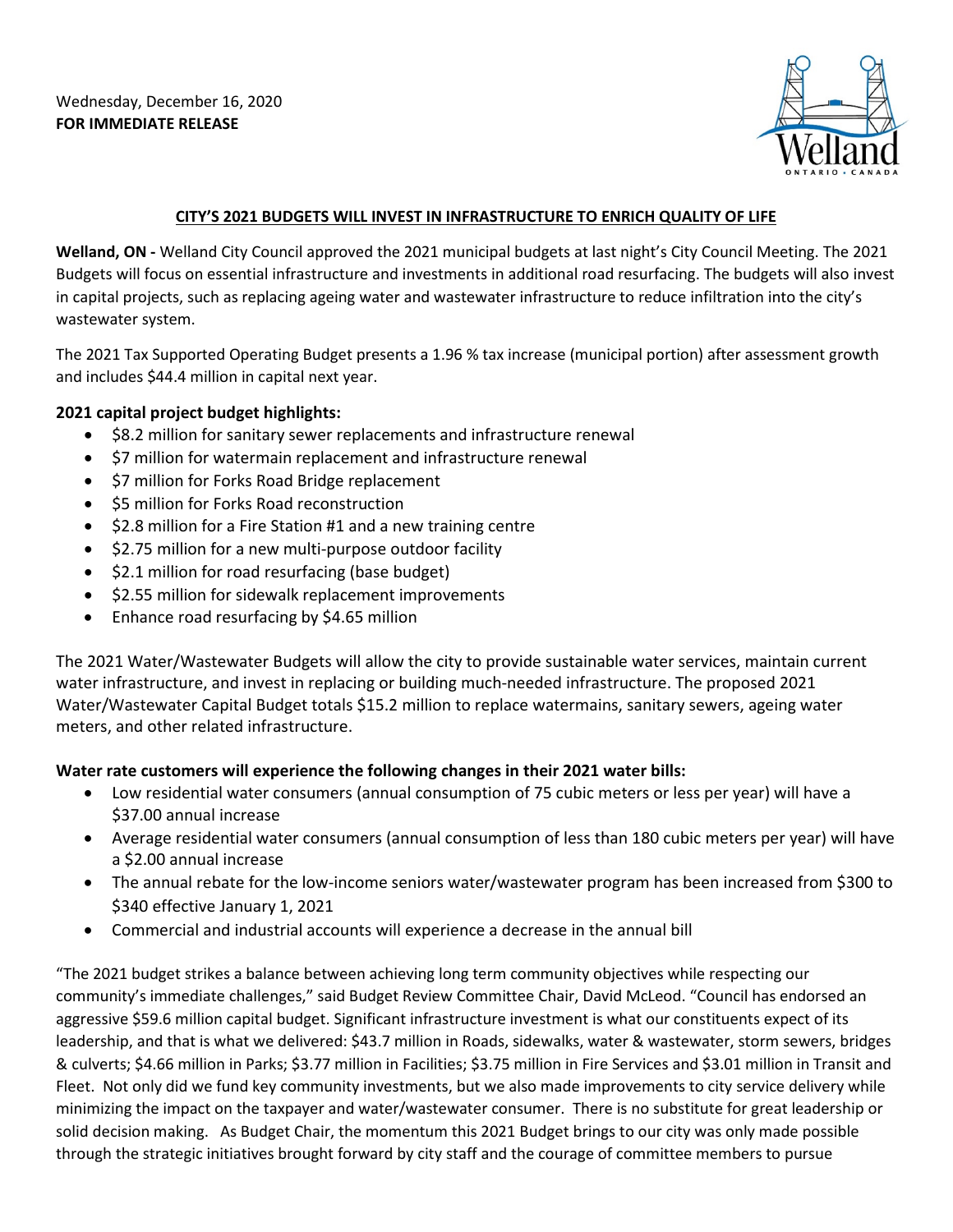Wednesday, December 16, 2020 **FOR IMMEDIATE RELEASE** 



## **CITY'S 2021 BUDGETS WILL INVEST IN INFRASTRUCTURE TO ENRICH QUALITY OF LIFE**

 **Welland, ON -** Welland City Council approved the 2021 municipal budgets at last night's City Council Meeting. The 2021 Budgets will focus on essential infrastructure and investments in additional road resurfacing. The budgets will also invest in capital projects, such as replacing ageing water and wastewater infrastructure to reduce infiltration into the city's wastewater system.

The 2021 Tax Supported Operating Budget presents a 1.96 % tax increase (municipal portion) after assessment growth and includes \$44.4 million in capital next year.

## **2021 capital project budget highlights:**

- \$8.2 million for sanitary sewer replacements and infrastructure renewal
- \$7 million for watermain replacement and infrastructure renewal
- \$7 million for Forks Road Bridge replacement
- \$5 million for Forks Road reconstruction
- \$2.8 million for a Fire Station #1 and a new training centre
- \$2.75 million for a new multi-purpose outdoor facility
- \$2.1 million for road resurfacing (base budget)
- \$2.55 million for sidewalk replacement improvements
- Enhance road resurfacing by \$4.65 million

 Water/Wastewater Capital Budget totals \$15.2 million to replace watermains, sanitary sewers, ageing water The 2021 Water/Wastewater Budgets will allow the city to provide sustainable water services, maintain current water infrastructure, and invest in replacing or building much-needed infrastructure. The proposed 2021 meters, and other related infrastructure.

## **Water rate customers will experience the following changes in their 2021 water bills:**

- • Low residential water consumers (annual consumption of 75 cubic meters or less per year) will have a \$37.00 annual increase
- Average residential water consumers (annual consumption of less than 180 cubic meters per year) will have a \$2.00 annual increase
- • The annual rebate for the low-income seniors water/wastewater program has been increased from \$300 to \$340 effective January 1, 2021
- Commercial and industrial accounts will experience a decrease in the annual bill

 community's immediate challenges," said Budget Review Committee Chair, David McLeod. "Council has endorsed an aggressive \$59.6 million capital budget. Significant infrastructure investment is what our constituents expect of its leadership, and that is what we delivered: \$43.7 million in Roads, sidewalks, water & wastewater, storm sewers, bridges & culverts; \$4.66 million in Parks; \$3.77 million in Facilities; \$3.75 million in Fire Services and \$3.01 million in Transit and Fleet. Not only did we fund key community investments, but we also made improvements to city service delivery while minimizing the impact on the taxpayer and water/wastewater consumer. There is no substitute for great leadership or solid decision making. As Budget Chair, the momentum this 2021 Budget brings to our city was only made possible "The 2021 budget strikes a balance between achieving long term community objectives while respecting our through the strategic initiatives brought forward by city staff and the courage of committee members to pursue